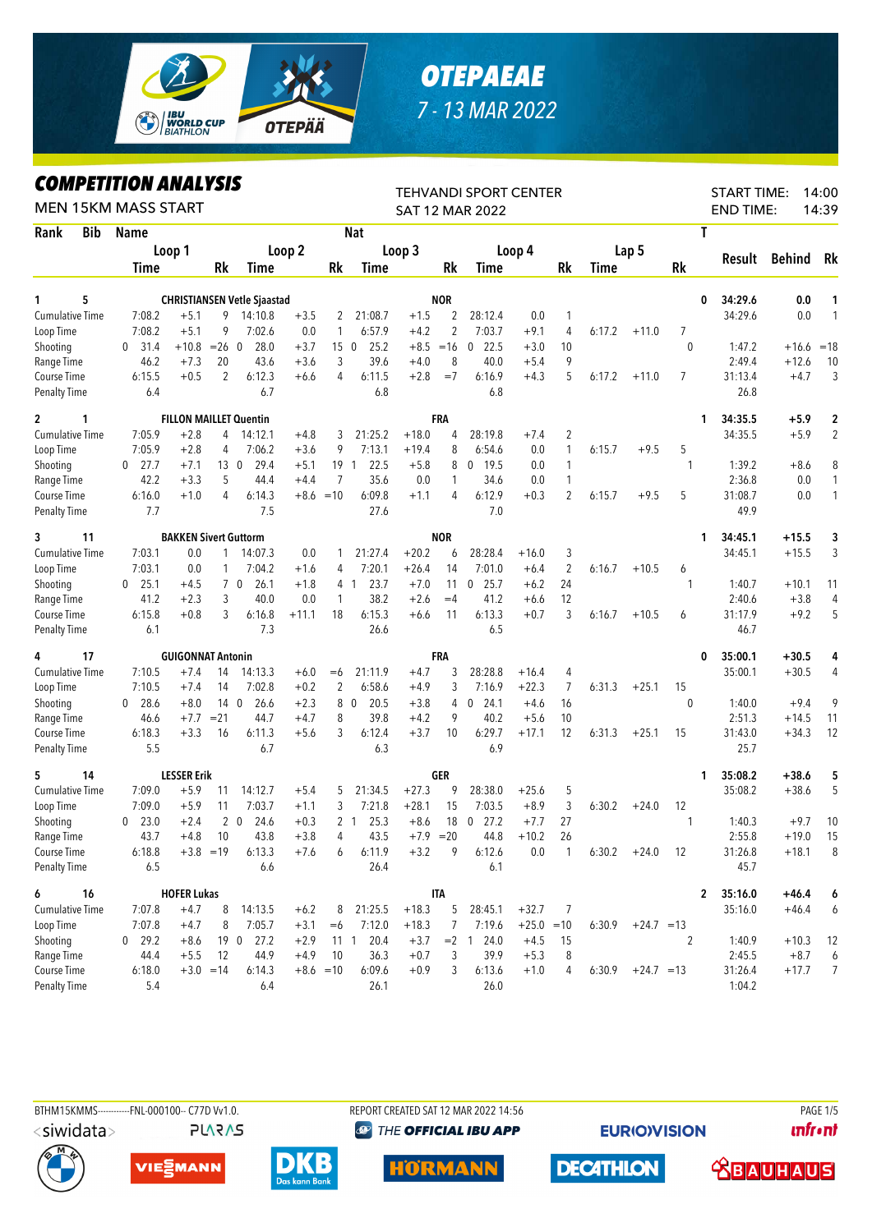

## **OTEPAEAE** 7 - 13 MAR 2022

## **COMPETITION ANALYSIS**

| <i><b>COMPEILION ANALYSIS</b></i><br><b>MEN 15KM MASS START</b> |               |                              | <b>TEHVANDI SPORT CENTER</b><br><b>SAT 12 MAR 2022</b> | <b>START TIME:</b><br>14:00<br><b>END TIME:</b><br>14:39 |         |                 |                        |             |                |                        |              |                |        |                     |           |                         |               |                |
|-----------------------------------------------------------------|---------------|------------------------------|--------------------------------------------------------|----------------------------------------------------------|---------|-----------------|------------------------|-------------|----------------|------------------------|--------------|----------------|--------|---------------------|-----------|-------------------------|---------------|----------------|
| Rank<br>Bib                                                     | <b>Name</b>   |                              |                                                        |                                                          |         |                 | <b>Nat</b>             |             |                |                        |              |                |        |                     |           | T                       |               |                |
|                                                                 | Loop 1        |                              |                                                        |                                                          | Loop 2  |                 |                        | Loop 3      |                |                        | Loop 4       |                |        | Lap <sub>5</sub>    |           |                         |               |                |
|                                                                 | Time          |                              | Rk                                                     | <b>Time</b>                                              |         | Rk              | Time                   |             | Rk             | Time                   |              | Rk             | Time   |                     | <b>Rk</b> | Result                  | <b>Behind</b> | Rk             |
|                                                                 |               |                              |                                                        |                                                          |         |                 |                        |             |                |                        |              |                |        |                     |           |                         |               |                |
| 5<br>1                                                          |               |                              |                                                        | <b>CHRISTIANSEN Vetle Sjaastad</b>                       |         |                 |                        |             | <b>NOR</b>     |                        |              |                |        |                     |           | 34:29.6<br>0            | 0.0           | 1              |
| Cumulative Time                                                 | 7:08.2        | $+5.1$                       | 9                                                      | 14:10.8                                                  | $+3.5$  | 2               | 21:08.7                | $+1.5$      | 2              | 28:12.4<br>7:03.7      | 0.0          | $\mathbf{1}$   |        |                     |           | 34:29.6                 | 0.0           | 1              |
| Loop Time                                                       | 7:08.2        | $+5.1$                       | 9                                                      | 7:02.6                                                   | 0.0     | 1               | 6:57.9                 | $+4.2$      | $\overline{2}$ |                        | $+9.1$       | 4              | 6:17.2 | $+11.0$             | 7         |                         |               |                |
| Shooting                                                        | 0, 31.4       | $+10.8$                      | $=26$                                                  | $\mathbf 0$<br>28.0                                      | $+3.7$  | 15 <sub>0</sub> | 25.2                   | $+8.5$      | $=16$          | 22.5<br>$\mathbf{0}$   | $+3.0$       | 10             |        |                     | 0         | 1:47.2                  | $+16.6$       | $=18$          |
| Range Time                                                      | 46.2          | $+7.3$                       | 20                                                     | 43.6                                                     | $+3.6$  | 3               | 39.6                   | $+4.0$      | 8              | 40.0                   | $+5.4$       | 9              |        |                     |           | 2:49.4                  | $+12.6$       | 10             |
| Course Time<br><b>Penalty Time</b>                              | 6:15.5<br>6.4 | $+0.5$                       | $\overline{2}$                                         | 6:12.3<br>6.7                                            | $+6.6$  | 4               | 6:11.5<br>6.8          | $+2.8$      | $=7$           | 6:16.9<br>6.8          | $+4.3$       | 5              | 6:17.2 | $+11.0$             | 7         | 31:13.4<br>26.8         | $+4.7$        | 3              |
| $\overline{2}$<br>1                                             |               |                              |                                                        | <b>FILLON MAILLET Quentin</b>                            |         |                 |                        |             | FRA            |                        |              |                |        |                     |           | 34:35.5<br>1            | +5.9          | 2              |
| Cumulative Time                                                 | 7:05.9        | $+2.8$                       | 4                                                      | 14:12.1                                                  | $+4.8$  | 3               | 21:25.2                | $+18.0$     | 4              | 28:19.8                | $+7.4$       | $\overline{2}$ |        |                     |           | 34:35.5                 | $+5.9$        | $\overline{2}$ |
| Loop Time                                                       | 7:05.9        | $+2.8$                       | 4                                                      | 7:06.2                                                   | $+3.6$  | 9               | 7:13.1                 | $+19.4$     | 8              | 6:54.6                 | 0.0          | 1              | 6:15.7 | $+9.5$              | 5         |                         |               |                |
|                                                                 | $0$ 27.7      | $+7.1$                       | 13                                                     | 29.4<br>$\overline{0}$                                   | $+5.1$  |                 | 19 1<br>22.5           | $+5.8$      | 8              | $0$ 19.5               | 0.0          | 1              |        |                     | 1         | 1:39.2                  | $+8.6$        | 8              |
| Shooting<br>Range Time                                          | 42.2          | $+3.3$                       | 5                                                      | 44.4                                                     | $+4.4$  | 7               | 35.6                   | 0.0         | 1              | 34.6                   | 0.0          | 1              |        |                     |           | 2:36.8                  | 0.0           | $\mathbf{1}$   |
| Course Time                                                     | 6:16.0        | $+1.0$                       | 4                                                      | 6:14.3                                                   |         | $+8.6 = 10$     | 6:09.8                 | $+1.1$      | 4              | 6:12.9                 | $+0.3$       | 2              | 6:15.7 | $+9.5$              | 5         | 31:08.7                 | 0.0           | $\mathbf{1}$   |
| <b>Penalty Time</b>                                             | 7.7           |                              |                                                        | 7.5                                                      |         |                 | 27.6                   |             |                | 7.0                    |              |                |        |                     |           | 49.9                    |               |                |
| 3<br>11                                                         |               | <b>BAKKEN Sivert Guttorm</b> |                                                        |                                                          |         |                 |                        |             | <b>NOR</b>     |                        |              |                |        |                     |           | 34:45.1<br>1            | $+15.5$       | 3              |
| <b>Cumulative Time</b>                                          | 7:03.1        | 0.0                          |                                                        | 14:07.3                                                  | 0.0     |                 | 21:27.4                | $+20.2$     | 6              | 28:28.4                | $+16.0$      | 3              |        |                     |           | 34:45.1                 | $+15.5$       | 3              |
| Loop Time                                                       | 7:03.1        | 0.0                          | 1                                                      | 7:04.2                                                   | $+1.6$  | 4               | 7:20.1                 | $+26.4$     | 14             | 7:01.0                 | $+6.4$       | $\overline{2}$ | 6:16.7 | $+10.5$             | 6         |                         |               |                |
| Shooting                                                        | $0$ 25.1      | $+4.5$                       |                                                        | 7 0<br>26.1                                              | $+1.8$  |                 | 23.7<br>4 1            | $+7.0$      | 11             | $\mathbf 0$<br>25.7    | $+6.2$       | 24             |        |                     | 1         | 1:40.7                  | $+10.1$       | 11             |
| Range Time                                                      | 41.2          | $+2.3$                       | 3                                                      | 40.0                                                     | 0.0     | 1               | 38.2                   | $+2.6$      | $=4$           | 41.2                   | $+6.6$       | 12             |        |                     |           | 2:40.6                  | $+3.8$        | 4              |
| Course Time                                                     | 6:15.8        | $+0.8$                       | 3                                                      | 6:16.8                                                   | $+11.1$ | 18              | 6:15.3                 | $+6.6$      | 11             | 6:13.3                 | $+0.7$       | 3              | 6:16.7 | $+10.5$             | 6         | 31:17.9                 | $+9.2$        | 5              |
| <b>Penalty Time</b>                                             | 6.1           |                              |                                                        | 7.3                                                      |         |                 | 26.6                   |             |                | 6.5                    |              |                |        |                     |           | 46.7                    |               |                |
| 17<br>4                                                         |               | <b>GUIGONNAT Antonin</b>     |                                                        |                                                          |         |                 |                        |             | FRA            |                        |              |                |        |                     |           | 35:00.1<br>0            | +30.5         | 4              |
| <b>Cumulative Time</b>                                          | 7:10.5        | $+7.4$                       | 14                                                     | 14:13.3                                                  | $+6.0$  | $=6$            | 21:11.9                | $+4.7$      | 3              | 28:28.8                | $+16.4$      | 4              |        |                     |           | 35:00.1                 | $+30.5$       | 4              |
| Loop Time                                                       | 7:10.5        | $+7.4$                       | 14                                                     | 7:02.8                                                   | $+0.2$  | 2               | 6:58.6                 | $+4.9$      | 3              | 7:16.9                 | $+22.3$      | 7              | 6:31.3 | $+25.1$             | 15        |                         |               |                |
| Shooting                                                        | $0$ 28.6      | $+8.0$                       | 14 <sub>0</sub>                                        | 26.6                                                     | $+2.3$  |                 | 80<br>20.5             | $+3.8$      | 4              | 24.1<br>0              | $+4.6$       | 16             |        |                     | $\theta$  | 1:40.0                  | $+9.4$        | 9              |
| Range Time                                                      | 46.6          | $+7.7$                       | $= 21$                                                 | 44.7                                                     | $+4.7$  | 8               | 39.8                   | $+4.2$      | 9              | 40.2                   | $+5.6$       | 10             |        |                     |           | 2:51.3                  | $+14.5$       | 11             |
| Course Time                                                     | 6:18.3        | $+3.3$                       | 16                                                     | 6:11.3                                                   | $+5.6$  | 3               | 6:12.4                 | $+3.7$      | 10             | 6:29.7                 | $+17.1$      | 12             | 6:31.3 | $+25.1$             | 15        | 31:43.0                 | $+34.3$       | 12             |
| <b>Penalty Time</b>                                             | 5.5           |                              |                                                        | 6.7                                                      |         |                 | 6.3                    |             |                | 6.9                    |              |                |        |                     |           | 25.7                    |               |                |
| 14<br>5                                                         |               | <b>LESSER Erik</b>           |                                                        |                                                          |         |                 |                        |             | GER            |                        |              |                |        |                     |           | 35:08.2<br>1            | +38.6         | 5              |
| <b>Cumulative Time</b>                                          | 7:09.0        | $+5.9$                       | 11                                                     | 14:12.7                                                  | $+5.4$  | 5               | 21:34.5                | $+27.3$     | 9              | 28:38.0                | $+25.6$      | 5              |        |                     |           | 35:08.2                 | $+38.6$       | 5              |
| Loop Time                                                       | 7:09.0        | $+5.9$                       | 11                                                     | 7:03.7                                                   | $+1.1$  | 3               | 7:21.8                 | $+28.1$     | 15             | 7:03.5                 | $+8.9$       | 3              | 6:30.2 | $+24.0$             | 12        |                         |               |                |
| Shooting                                                        | $0$ 23.0      | $+2.4$                       |                                                        | $2\quad 0$<br>24.6                                       | $+0.3$  |                 | 2 <sub>1</sub><br>25.3 | $+8.6$      | 18             | $\overline{0}$<br>27.2 | $+7.7$       | 27             |        |                     | 1         | 1:40.3                  | $+9.7$        | 10             |
| Range Time                                                      | 43.7          | $+4.8$                       | 10                                                     | 43.8                                                     | $+3.8$  | 4               | 43.5                   | $+7.9$ = 20 |                | 44.8                   | $+10.2$      | 26             |        |                     |           | 2:55.8                  | $+19.0$       | 15             |
| Course Time                                                     | 6:18.8        | $+3.8 = 19$                  |                                                        | 6:13.3                                                   | $+7.6$  | 6               | 6:11.9                 | $+3.2$      | 9              | 6:12.6                 | 0.0          | $\mathbf{1}$   | 6:30.2 | $+24.0$             | 12        | 31:26.8                 | $+18.1$       | 8              |
| <b>Penalty Time</b>                                             | 6.5           |                              |                                                        | 6.6                                                      |         |                 | 26.4                   |             |                | 6.1                    |              |                |        |                     |           | 45.7                    |               |                |
| 6<br>16                                                         |               | <b>HOFER Lukas</b>           |                                                        |                                                          |         |                 |                        |             | <b>ITA</b>     |                        |              |                |        |                     |           | 35:16.0<br>$\mathbf{2}$ | $+46.4$       | 6              |
| Cumulative Time                                                 | 7:07.8        | $+4.7$                       | 8                                                      | 14:13.5                                                  | $+6.2$  | 8               | 21:25.5                | $+18.3$     | 5              | 28:45.1                | $+32.7$      | 7              |        |                     |           | 35:16.0                 | $+46.4$       | 6              |
| Loop Time                                                       | 7:07.8        | $+4.7$                       | 8                                                      | 7:05.7                                                   | $+3.1$  | $=6$            | 7:12.0                 | $+18.3$     | 7              | 7:19.6                 | $+25.0 = 10$ |                | 6:30.9 | $+24.7 = 13$        |           |                         |               |                |
| Shooting                                                        | $0$ 29.2      | $+8.6$                       |                                                        | 19 0 27.2                                                | $+2.9$  |                 | 11 1 20.4              | $+3.7$      |                | $= 2$ 1 24.0           | $+4.5$       | 15             |        |                     | 2         | 1:40.9                  | $+10.3$       | 12             |
| Range Time                                                      | 44.4          | $+5.5$                       | 12                                                     | 44.9                                                     | $+4.9$  | 10              | 36.3                   | $+0.7$      | 3              | 39.9                   | $+5.3$       | 8              |        |                     |           | 2:45.5                  | $+8.7$        | 6              |
| Course Time                                                     | 6:18.0        |                              | $+3.0 = 14$                                            | 6:14.3                                                   |         | $+8.6 = 10$     | 6:09.6                 | $+0.9$      | 3              | 6:13.6                 | $+1.0$       | 4              |        | $6:30.9 +24.7 = 13$ |           | 31:26.4                 | $+17.7$       | $\overline{7}$ |
| <b>Penalty Time</b>                                             | 5.4           |                              |                                                        | 6.4                                                      |         |                 | 26.1                   |             |                | 26.0                   |              |                |        |                     |           | 1:04.2                  |               |                |



BTHM15KMMS------------FNL-000100-- C77D Vv1.0.

REPORT CREATED SAT 12 MAR 2022 14:56 **@ THE OFFICIAL IBU APP** 

**EURIO)VISION** 

**PAGE 1/5 unfront** 





**PLARAS** 







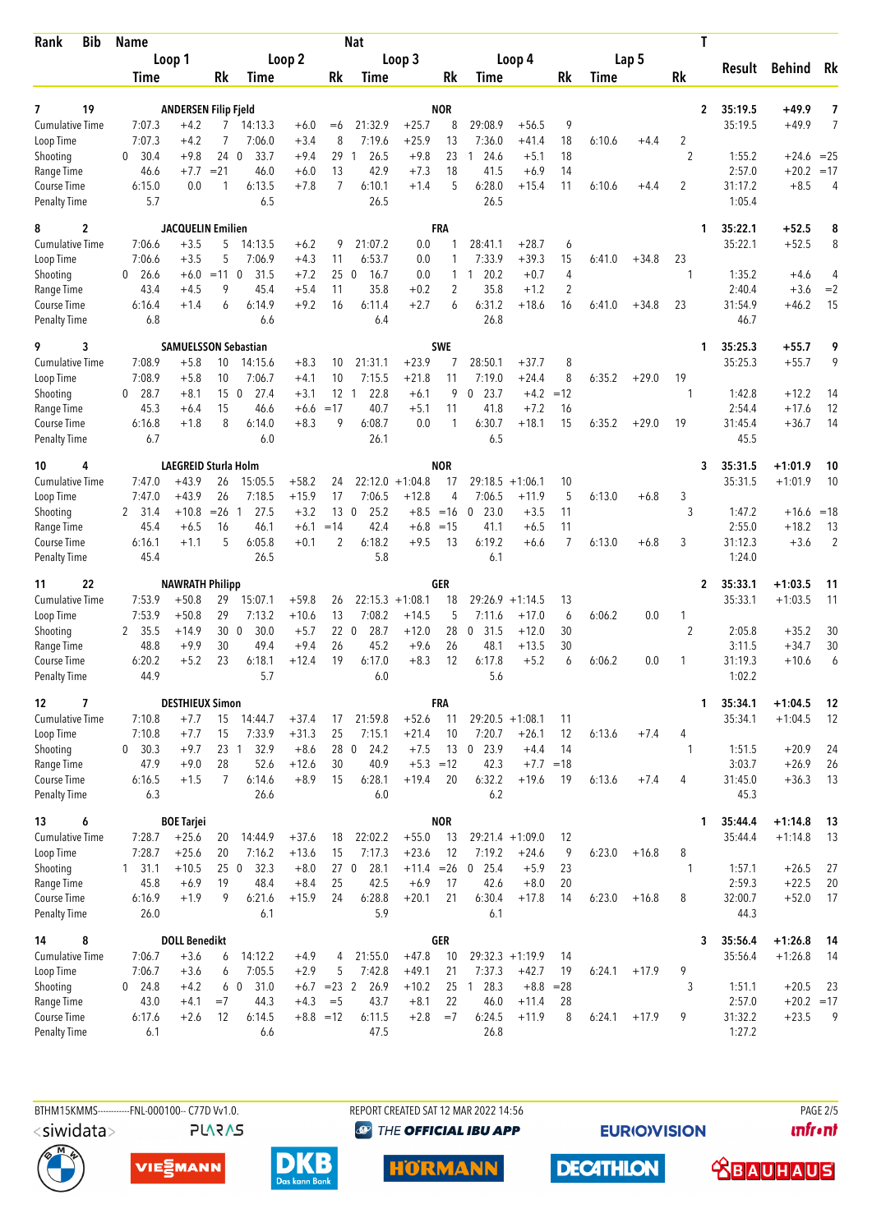| Bib<br>Rank                         | <b>Name</b>              |                             |                       |                   |                    | <b>Nat</b>            |                                |                    |                     |                               |                              | T                   |        |         |                     |                   |                   |                |
|-------------------------------------|--------------------------|-----------------------------|-----------------------|-------------------|--------------------|-----------------------|--------------------------------|--------------------|---------------------|-------------------------------|------------------------------|---------------------|--------|---------|---------------------|-------------------|-------------------|----------------|
|                                     | Loop 1                   |                             | Loop 2                |                   | Loop 3             |                       |                                |                    | Loop 4              |                               |                              | Lap 5               |        |         | Result              |                   | Rk                |                |
|                                     | Time                     |                             | Rk                    | Time              |                    | Rk                    | Time                           |                    | Rk                  | Time                          |                              | Rk                  | Time   |         | Rk                  |                   | Behind            |                |
| 19<br>7                             |                          | <b>ANDERSEN Filip Fjeld</b> |                       |                   |                    |                       |                                |                    | <b>NOR</b>          |                               |                              |                     |        |         | $\overline{2}$      | 35:19.5           | +49.9             | 7              |
| <b>Cumulative Time</b>              | 7:07.3                   | $+4.2$                      | 7                     | 14:13.3           | $+6.0$             | $= 6$                 | 21:32.9                        | $+25.7$            | 8                   | 29:08.9                       | $+56.5$                      | 9                   |        |         |                     | 35:19.5           | $+49.9$           | 7              |
| Loop Time                           | 7:07.3                   | $+4.2$                      | 7                     | 7:06.0            | $+3.4$             | 8                     | 7:19.6                         | $+25.9$            | 13                  | 7:36.0                        | $+41.4$                      | 18                  | 6:10.6 | $+4.4$  | 2                   |                   |                   |                |
| Shooting                            | 30.4<br>$\mathbf{0}$     | $+9.8$                      | 240                   | 33.7              | $+9.4$             | 29                    | 26.5<br>$\mathbf{1}$<br>42.9   | $+9.8$             | 23                  | 24.6<br>1                     | $+5.1$                       | 18                  |        |         | $\overline{2}$      | 1:55.2            | $+24.6 = 25$      |                |
| Range Time<br>Course Time           | 46.6<br>6:15.0           | $+7.7$<br>0.0               | $= 21$<br>1           | 46.0<br>6:13.5    | $+6.0$<br>$+7.8$   | 13<br>$\overline{7}$  | 6:10.1                         | $+7.3$<br>$+1.4$   | 18<br>5             | 41.5<br>6:28.0                | $+6.9$<br>$+15.4$            | 14<br>11            | 6:10.6 | $+4.4$  | 2                   | 2:57.0<br>31:17.2 | $+20.2$<br>$+8.5$ | $=17$<br>4     |
| <b>Penalty Time</b>                 | 5.7                      |                             |                       | 6.5               |                    |                       | 26.5                           |                    |                     | 26.5                          |                              |                     |        |         |                     | 1:05.4            |                   |                |
| $\overline{c}$<br>8                 |                          | <b>JACQUELIN Emilien</b>    |                       |                   |                    |                       |                                |                    | <b>FRA</b>          |                               |                              |                     |        |         | 1                   | 35:22.1           | $+52.5$           | 8              |
| <b>Cumulative Time</b>              | 7:06.6                   | $+3.5$                      | 5                     | 14:13.5           | $+6.2$             | 9                     | 21:07.2                        | 0.0                | 1                   | 28:41.1                       | $+28.7$                      | 6                   |        |         |                     | 35:22.1           | $+52.5$           | 8              |
| Loop Time                           | 7:06.6                   | $+3.5$                      | 5                     | 7:06.9<br>31.5    | $+4.3$             | 11                    | 6:53.7                         | 0.0                | 1                   | 7:33.9                        | $+39.3$                      | 15                  | 6:41.0 | $+34.8$ | 23                  |                   |                   |                |
| Shooting<br>Range Time              | $\Omega$<br>26.6<br>43.4 | $+6.0$<br>$+4.5$            | $=11$ 0<br>9          | 45.4              | $+7.2$<br>$+5.4$   | 25<br>11              | 16.7<br>$\overline{0}$<br>35.8 | 0.0<br>$+0.2$      | 1<br>$\overline{2}$ | 20.2<br>$\mathbf{1}$<br>35.8  | $+0.7$<br>$+1.2$             | 4<br>$\overline{2}$ |        |         | 1                   | 1:35.2<br>2:40.4  | $+4.6$<br>$+3.6$  | 4<br>$=2$      |
| Course Time                         | 6:16.4                   | $+1.4$                      | 6                     | 6:14.9            | $+9.2$             | 16                    | 6:11.4                         | $+2.7$             | 6                   | 6:31.2                        | $+18.6$                      | 16                  | 6:41.0 | $+34.8$ | 23                  | 31:54.9           | $+46.2$           | 15             |
| <b>Penalty Time</b>                 | 6.8                      |                             |                       | 6.6               |                    |                       | 6.4                            |                    |                     | 26.8                          |                              |                     |        |         |                     | 46.7              |                   |                |
| 3<br>9                              |                          | <b>SAMUELSSON Sebastian</b> |                       |                   |                    |                       |                                |                    | <b>SWE</b>          |                               |                              |                     |        |         | 1                   | 35:25.3           | $+55.7$           | 9              |
| Cumulative Time                     | 7:08.9                   | $+5.8$                      | 10                    | 14:15.6           | $+8.3$             | 10                    | 21:31.1                        | $+23.9$            |                     | 28:50.1                       | $+37.7$                      | 8                   |        |         |                     | 35:25.3           | $+55.7$           | 9              |
| Loop Time<br>Shooting               | 7:08.9<br>28.7<br>0      | $+5.8$<br>$+8.1$            | 10<br>15 <sub>0</sub> | 7:06.7<br>27.4    | $+4.1$<br>$+3.1$   | 10<br>$12 \quad 1$    | 7:15.5<br>22.8                 | $+21.8$<br>$+6.1$  | 11<br>9             | 7:19.0<br>0<br>23.7           | $+24.4$<br>$+4.2$            | 8<br>$=12$          | 6:35.2 | $+29.0$ | 19<br>$\mathbf{1}$  | 1:42.8            | $+12.2$           | 14             |
| Range Time                          | 45.3                     | $+6.4$                      | 15                    | 46.6              | $+6.6$             | $=17$                 | 40.7                           | $+5.1$             | 11                  | 41.8                          | $+7.2$                       | 16                  |        |         |                     | 2:54.4            | $+17.6$           | 12             |
| Course Time                         | 6:16.8                   | $+1.8$                      | 8                     | 6:14.0            | $+8.3$             | 9                     | 6:08.7                         | 0.0                | 1                   | 6:30.7                        | $+18.1$                      | 15                  | 6:35.2 | $+29.0$ | 19                  | 31:45.4           | $+36.7$           | 14             |
| <b>Penalty Time</b>                 | 6.7                      |                             |                       | 6.0               |                    |                       | 26.1                           |                    |                     | 6.5                           |                              |                     |        |         |                     | 45.5              |                   |                |
| 4<br>10                             |                          | LAEGREID Sturla Holm        |                       |                   |                    |                       |                                |                    | <b>NOR</b>          |                               |                              |                     |        |         | 3                   | 35:31.5           | $+1:01.9$         | 10             |
| <b>Cumulative Time</b>              | 7:47.0                   | $+43.9$                     | 26                    | 15:05.5           | $+58.2$            | 24                    | 22:12.0                        | $+1:04.8$          | 17                  | 29:18.5                       | $+1:06.1$                    | 10                  |        |         |                     | 35:31.5           | $+1:01.9$         | 10             |
| Loop Time<br>Shooting               | 7:47.0<br>2 31.4         | $+43.9$<br>$+10.8$          | 26<br>$= 26$ 1        | 7:18.5<br>27.5    | $+15.9$<br>$+3.2$  | 17<br>13 <sub>0</sub> | 7:06.5<br>25.2                 | $+12.8$<br>$+8.5$  | 4<br>$=16$          | 7:06.5<br>23.0<br>$\theta$    | $+11.9$<br>$+3.5$            | 5<br>11             | 6:13.0 | $+6.8$  | 3<br>3              | 1:47.2            | $+16.6 = 18$      |                |
| Range Time                          | 45.4                     | $+6.5$                      | 16                    | 46.1              | $+6.1$             | $=14$                 | 42.4                           | $+6.8$             | $=15$               | 41.1                          | $+6.5$                       | 11                  |        |         |                     | 2:55.0            | $+18.2$           | -13            |
| Course Time                         | 6:16.1                   | $+1.1$                      | 5                     | 6:05.8            | $+0.1$             | 2                     | 6:18.2                         | $+9.5$             | 13                  | 6:19.2                        | $+6.6$                       | 7                   | 6:13.0 | $+6.8$  | 3                   | 31:12.3           | $+3.6$            | $\overline{2}$ |
| Penalty Time                        | 45.4                     |                             |                       | 26.5              |                    |                       | 5.8                            |                    |                     | 6.1                           |                              |                     |        |         |                     | 1:24.0            |                   |                |
| 22<br>11                            |                          | <b>NAWRATH Philipp</b>      |                       |                   |                    |                       |                                |                    | GER                 |                               |                              |                     |        |         | 2                   | 35:33.1           | $+1:03.5$         | 11             |
| <b>Cumulative Time</b>              | 7:53.9                   | $+50.8$                     | 29                    | 15:07.1           | $+59.8$            | 26                    |                                | $22:15.3 +1:08.1$  | 18                  |                               | $29:26.9 +1:14.5$            | 13                  |        |         |                     | 35:33.1           | $+1:03.5$         | 11             |
| Loop Time<br>Shooting               | 7:53.9<br>35.5<br>2      | $+50.8$<br>$+14.9$          | 29<br>300             | 7:13.2<br>30.0    | $+10.6$<br>$+5.7$  | 13<br>220             | 7:08.2<br>28.7                 | $+14.5$<br>$+12.0$ | 5<br>28             | 7:11.6<br>$\mathbf 0$<br>31.5 | $+17.0$<br>$+12.0$           | 6<br>30             | 6:06.2 | 0.0     | 1<br>$\overline{2}$ | 2:05.8            | $+35.2$           | 30             |
| Range Time                          | 48.8                     | $+9.9$                      | 30                    | 49.4              | $+9.4$             | 26                    | 45.2                           | $+9.6$             | 26                  | 48.1                          | $+13.5$                      | 30                  |        |         |                     | 3:11.5            | $+34.7$           | 30             |
| Course Time                         | 6:20.2                   | $+5.2$                      | 23                    | 6:18.1            | $+12.4$            | 19                    | 6:17.0                         | $+8.3$             | 12                  | 6:17.8                        | $+5.2$                       | 6                   | 6:06.2 | 0.0     | 1                   | 31:19.3           | $+10.6$           | 6              |
| <b>Penalty Time</b>                 | 44.9                     |                             |                       | 5.7               |                    |                       | 6.0                            |                    |                     | 5.6                           |                              |                     |        |         |                     | 1:02.2            |                   |                |
| 12<br>7                             |                          | <b>DESTHIEUX Simon</b>      |                       |                   |                    |                       |                                |                    | <b>FRA</b>          |                               |                              |                     |        |         | 1                   | 35:34.1           | $+1:04.5$         | 12             |
| <b>Cumulative Time</b><br>Loop Time | 7:10.8<br>7:10.8         | $+7.7$<br>$+7.7$            | 15<br>15              | 14:44.7<br>7:33.9 | $+37.4$<br>$+31.3$ | 17<br>25              | 21:59.8<br>7:15.1              | $+52.6$<br>$+21.4$ | 11<br>10            | $29:20.5 +1:08.1$<br>7:20.7   | $+26.1$                      | 11<br>12            | 6:13.6 | $+7.4$  | 4                   | 35:34.1           | $+1:04.5$         | 12             |
| Shooting                            | 0, 30.3                  | $+9.7$                      | $23 \quad 1$          | 32.9              | $+8.6$             | 28 0                  | 24.2                           | $+7.5$             | 13                  | 0, 23.9                       | $+4.4$                       | 14                  |        |         | 1                   | 1:51.5            | $+20.9$           | 24             |
| Range Time                          | 47.9                     | $+9.0$                      | 28                    | 52.6              | $+12.6$            | 30                    | 40.9                           | $+5.3$             | $=12$               | 42.3                          | $+7.7 = 18$                  |                     |        |         |                     | 3:03.7            | $+26.9$           | 26             |
| Course Time                         | 6:16.5                   | $+1.5$                      | $\overline{7}$        | 6:14.6            | $+8.9$             | 15                    | 6:28.1                         | $+19.4$            | 20                  | 6:32.2                        | $+19.6$                      | 19                  | 6:13.6 | $+7.4$  | 4                   | 31:45.0           | $+36.3$           | 13             |
| <b>Penalty Time</b>                 | 6.3                      |                             |                       | 26.6              |                    |                       | 6.0                            |                    |                     | 6.2                           |                              |                     |        |         |                     | 45.3              |                   |                |
| 6<br>13                             |                          | <b>BOE Tariei</b>           |                       |                   |                    |                       |                                |                    | <b>NOR</b>          |                               |                              |                     |        |         | 1                   | 35:44.4           | $+1:14.8$         | -13            |
| <b>Cumulative Time</b><br>Loop Time | 7:28.7<br>7:28.7         | $+25.6$<br>$+25.6$          | 20<br>20              | 14:44.9           | $+37.6$<br>$+13.6$ | 18<br>15              | 22:02.2<br>7:17.3              | $+55.0$<br>$+23.6$ | 13<br>12            | 7:19.2                        | $29:21.4 +1:09.0$<br>$+24.6$ | 12<br>9             | 6:23.0 | $+16.8$ | 8                   | 35:44.4           | $+1:14.8$         | 13             |
| Shooting                            | $1 \quad 31.1$           | $+10.5$                     | 250                   | 7:16.2<br>32.3    | $+8.0$             | 270                   | 28.1                           | $+11.4 = 26$       |                     | 25.4<br>$\mathbf 0$           | $+5.9$                       | 23                  |        |         | $\mathbf{1}$        | 1:57.1            | $+26.5$           | 27             |
| Range Time                          | 45.8                     | $+6.9$                      | 19                    | 48.4              | $+8.4$             | 25                    | 42.5                           | $+6.9$             | 17                  | 42.6                          | $+8.0$                       | 20                  |        |         |                     | 2:59.3            | $+22.5$           | 20             |
| Course Time                         | 6:16.9                   | $+1.9$                      | 9                     | 6:21.6            | $+15.9$            | 24                    | 6:28.8                         | $+20.1$            | 21                  | 6:30.4                        | $+17.8$                      | 14                  | 6:23.0 | $+16.8$ | 8                   | 32:00.7           | $+52.0$           | 17             |
| <b>Penalty Time</b>                 | 26.0                     |                             |                       | 6.1               |                    |                       | 5.9                            |                    |                     | 6.1                           |                              |                     |        |         |                     | 44.3              |                   |                |
| 8<br>14                             |                          | <b>DOLL Benedikt</b>        |                       |                   |                    |                       |                                |                    | <b>GER</b>          |                               |                              |                     |        |         | 3                   | 35:56.4           | $+1:26.8$         | 14             |
| <b>Cumulative Time</b><br>Loop Time | 7:06.7<br>7:06.7         | $+3.6$<br>$+3.6$            | 6<br>6                | 14:12.2<br>7:05.5 | $+4.9$<br>$+2.9$   | 4<br>5                | 21:55.0<br>7:42.8              | $+47.8$<br>$+49.1$ | 10<br>21            | 7:37.3                        | $29:32.3 +1:19.9$<br>$+42.7$ | 14<br>19            | 6:24.1 | $+17.9$ | 9                   | 35:56.4           | $+1:26.8$         | -14            |
| Shooting                            | $0$ 24.8                 | $+4.2$                      |                       | 31.0<br>6 0       | $+6.7$             | $= 23$ 2              | 26.9                           | $+10.2$            | 25                  | 128.3                         | $+8.8$                       | $= 28$              |        |         | 3                   | 1:51.1            | $+20.5$           | 23             |
| Range Time                          | 43.0                     | $+4.1$                      | $=7$                  | 44.3              | $+4.3$             | $=$ 5                 | 43.7                           | $+8.1$             | 22                  | 46.0                          | $+11.4$                      | 28                  |        |         |                     | 2:57.0            | $+20.2 = 17$      |                |
| Course Time                         | 6:17.6                   | $+2.6$                      | 12                    | 6:14.5            | $+8.8 = 12$        |                       | 6:11.5                         | $+2.8$             | $=7$                | 6:24.5                        | $+11.9$                      | 8                   | 6:24.1 | $+17.9$ | 9                   | 31:32.2           | $+23.5$           | 9              |
| <b>Penalty Time</b>                 | 6.1                      |                             |                       | 6.6               |                    |                       | 47.5                           |                    |                     | 26.8                          |                              |                     |        |         |                     | 1:27.2            |                   |                |

<siwidata>

**PLARAS** 

BTHM15KMMS-----------FNL-000100-- C77D Vv1.0. REPORT CREATED SAT 12 MAR 2022 14:56 PAGE 2/5 <sup><sup>9</sup> THE OFFICIAL IBU APP</sup>

**EURIOVISION** 

**DECATHLON** 

*<u><u>Infront</u>*</u>







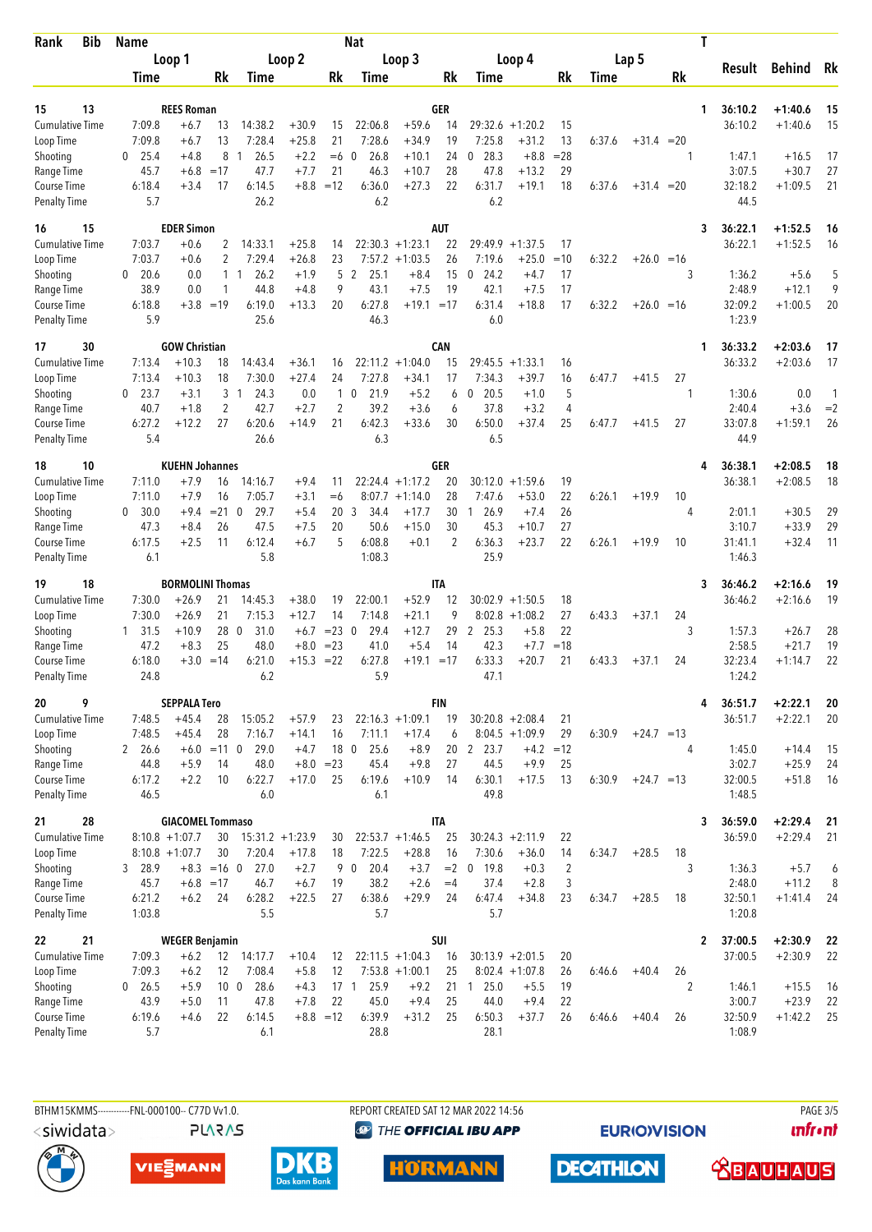| <b>Bib</b><br>Rank                  | <b>Name</b>      |                         | <b>Nat</b>      |                        |                    |                |                         |                    |            |                |                               | T              |        |              |       |   |                   |               |      |
|-------------------------------------|------------------|-------------------------|-----------------|------------------------|--------------------|----------------|-------------------------|--------------------|------------|----------------|-------------------------------|----------------|--------|--------------|-------|---|-------------------|---------------|------|
|                                     | Loop 1           |                         | Loop 2          |                        |                    |                |                         | Loop 3             |            |                | Loop 4                        |                | Lap 5  |              |       |   |                   |               |      |
|                                     | Time             |                         | Rk              | Time                   |                    | Rk             | Time                    |                    | Rk         | Time           |                               | Rk             | Time   |              | Rk    |   | Result            | <b>Behind</b> | Rk   |
|                                     |                  |                         |                 |                        |                    |                |                         |                    |            |                |                               |                |        |              |       |   |                   |               |      |
| 13<br>15                            |                  | <b>REES Roman</b>       |                 |                        |                    |                |                         |                    | GER        |                |                               |                |        |              |       | 1 | 36:10.2           | $+1:40.6$     | 15   |
| <b>Cumulative Time</b><br>Loop Time | 7:09.8<br>7:09.8 | $+6.7$<br>+6.7          | 13<br>13        | 14:38.2<br>7:28.4      | $+30.9$<br>$+25.8$ | 15<br>21       | 22:06.8<br>7:28.6       | $+59.6$<br>$+34.9$ | 14<br>19   | 7:25.8         | $29:32.6 + 1:20.2$<br>$+31.2$ | 15<br>13       | 6:37.6 | $+31.4$      | $=20$ |   | 36:10.2           | $+1:40.6$     | 15   |
| Shooting                            | 25.4<br>0        | $+4.8$                  | 8               | 26.5<br>-1             | $+2.2$             | $=6$ 0         | 26.8                    | $+10.1$            | 24         | 28.3<br>0      | $+8.8$                        | $= 28$         |        |              | 1     |   | 1:47.1            | $+16.5$       | 17   |
| Range Time                          | 45.7             | $+6.8$                  | $=17$           | 47.7                   | $+7.7$             | 21             | 46.3                    | $+10.7$            | 28         | 47.8           | $+13.2$                       | 29             |        |              |       |   | 3:07.5            | $+30.7$       | 27   |
| Course Time                         | 6:18.4           | $+3.4$                  | 17              | 6:14.5                 | $+8.8$             | $=12$          | 6:36.0                  | $+27.3$            | 22         | 6:31.7         | $+19.1$                       | 18             | 6:37.6 | $+31.4 = 20$ |       |   | 32:18.2           | $+1:09.5$     | 21   |
| <b>Penalty Time</b>                 | 5.7              |                         |                 | 26.2                   |                    |                | 6.2                     |                    |            | 6.2            |                               |                |        |              |       |   | 44.5              |               |      |
| 15<br>16                            |                  | <b>EDER Simon</b>       |                 |                        |                    |                |                         |                    | <b>AUT</b> |                |                               |                |        |              |       | 3 | 36:22.1           | $+1:52.5$     | 16   |
| <b>Cumulative Time</b>              | 7:03.7           | $+0.6$                  | 2               | 14:33.1                | $+25.8$            | 14             |                         | $22:30.3 +1:23.1$  | 22         | 29:49.9        | $+1:37.5$                     | 17             |        |              |       |   | 36:22.1           | $+1:52.5$     | 16   |
| Loop Time                           | 7:03.7           | $+0.6$                  | 2               | 7:29.4                 | $+26.8$            | 23             | 7:57.2                  | $+1:03.5$          | 26         | 7:19.6         | $+25.0$                       | $=10$          | 6:32.2 | $+26.0 = 16$ |       |   |                   |               |      |
| Shooting                            | 20.6<br>$\Omega$ | 0.0                     |                 | 26.2<br>$1\quad1$      | $+1.9$             | 5              | 2<br>25.1               | $+8.4$             | 15         | 24.2<br>0      | $+4.7$                        | 17             |        |              | 3     |   | 1:36.2            | $+5.6$        | 5    |
| Range Time                          | 38.9             | 0.0                     | 1               | 44.8                   | $+4.8$             | 9              | 43.1                    | $+7.5$             | 19         | 42.1           | $+7.5$                        | 17             |        |              |       |   | 2:48.9            | $+12.1$       | 9    |
| Course Time                         | 6:18.8           | $+3.8 = 19$             |                 | 6:19.0                 | $+13.3$            | 20             | 6:27.8                  | $+19.1 = 17$       |            | 6:31.4         | $+18.8$                       | 17             | 6:32.2 | $+26.0 = 16$ |       |   | 32:09.2           | $+1:00.5$     | 20   |
| <b>Penalty Time</b>                 | 5.9              |                         |                 | 25.6                   |                    |                | 46.3                    |                    |            | 6.0            |                               |                |        |              |       |   | 1:23.9            |               |      |
| 30<br>17                            |                  | <b>GOW Christian</b>    |                 |                        |                    |                |                         |                    | CAN        |                |                               |                |        |              |       | 1 | 36:33.2           | $+2:03.6$     | 17   |
| <b>Cumulative Time</b>              | 7:13.4           | $+10.3$                 | 18              | 14:43.4                | $+36.1$            | 16             |                         | $22:11.2 +1:04.0$  | 15         |                | $29:45.5 + 1:33.1$            | 16             |        |              |       |   | 36:33.2           | $+2:03.6$     | 17   |
| Loop Time                           | 7:13.4           | $+10.3$                 | 18              | 7:30.0                 | $+27.4$            | 24             | 7:27.8                  | $+34.1$            | 17         | 7:34.3         | $+39.7$                       | 16             | 6:47.7 | $+41.5$      | 27    |   |                   |               |      |
| Shooting                            | 23.7<br>0        | $+3.1$                  | 3               | 24.3<br>$\overline{1}$ | 0.0                | $\mathbf{1}$   | $\mathbf 0$<br>21.9     | $+5.2$             | 6          | 20.5<br>0      | $+1.0$                        | 5              |        |              | 1     |   | 1:30.6            | 0.0           | 1    |
| Range Time                          | 40.7             | $+1.8$                  | $\overline{2}$  | 42.7                   | $+2.7$             | $\overline{c}$ | 39.2                    | $+3.6$             | 6          | 37.8           | $+3.2$                        | 4              |        |              |       |   | 2:40.4            | $+3.6$        | $=2$ |
| Course Time<br><b>Penalty Time</b>  | 6:27.2<br>5.4    | $+12.2$                 | 27              | 6:20.6<br>26.6         | $+14.9$            | 21             | 6:42.3<br>6.3           | $+33.6$            | 30         | 6:50.0<br>6.5  | $+37.4$                       | 25             | 6:47.7 | $+41.5$      | 27    |   | 33:07.8<br>44.9   | $+1:59.1$     | 26   |
| 10<br>18                            |                  | <b>KUEHN Johannes</b>   |                 |                        |                    |                |                         |                    | GER        |                |                               |                |        |              |       | 4 | 36:38.1           | $+2:08.5$     | 18   |
| <b>Cumulative Time</b>              | 7:11.0           | $+7.9$                  | 16              | 14:16.7                | $+9.4$             | 11             |                         | $22:24.4 +1:17.2$  | 20         | 30:12.0        | $+1:59.6$                     | 19             |        |              |       |   | 36:38.1           | $+2:08.5$     | 18   |
| Loop Time                           | 7:11.0           | $+7.9$                  | 16              | 7:05.7                 | $+3.1$             | $= 6$          | 8:07.7                  | $+1:14.0$          | 28         | 7:47.6         | $+53.0$                       | 22             | 6:26.1 | $+19.9$      | 10    |   |                   |               |      |
| Shooting                            | 30.0<br>0        | $+9.4$                  | $= 21 \ 0$      | 29.7                   | $+5.4$             | 20             | 3<br>34.4               | $+17.7$            | 30         | 126.9          | $+7.4$                        | 26             |        |              | 4     |   | 2:01.1            | $+30.5$       | 29   |
| Range Time                          | 47.3             | $+8.4$                  | 26              | 47.5                   | $+7.5$             | 20             | 50.6                    | $+15.0$            | 30         | 45.3           | $+10.7$                       | 27             |        |              |       |   | 3:10.7            | $+33.9$       | 29   |
| Course Time                         | 6:17.5           | $+2.5$                  | 11              | 6:12.4                 | $+6.7$             | 5              | 6:08.8                  | $+0.1$             | 2          | 6:36.3         | $+23.7$                       | 22             | 6:26.1 | $+19.9$      | 10    |   | 31:41.1           | $+32.4$       | 11   |
| <b>Penalty Time</b>                 | 6.1              |                         |                 | 5.8                    |                    |                | 1:08.3                  |                    |            | 25.9           |                               |                |        |              |       |   | 1:46.3            |               |      |
| 18<br>19                            |                  | <b>BORMOLINI Thomas</b> |                 |                        |                    |                |                         |                    | <b>ITA</b> |                |                               |                |        |              |       | 3 | 36:46.2           | $+2:16.6$     | 19   |
| Cumulative Time                     | 7:30.0           | $+26.9$                 | 21              | 14:45.3                | $+38.0$            | 19             | 22:00.1                 | $+52.9$            | 12         |                | $30:02.9 +1:50.5$             | 18             |        |              |       |   | 36:46.2           | $+2:16.6$     | 19   |
| Loop Time                           | 7:30.0           | $+26.9$                 | 21              | 7:15.3                 | $+12.7$            | 14             | 7:14.8                  | $+21.1$            | 9          |                | $8:02.8 +1:08.2$              | 27             | 6:43.3 | $+37.1$      | 24    |   |                   |               |      |
| Shooting                            | 31.5<br>1        | $+10.9$                 | 28 0            | 31.0                   | $+6.7$             | $= 23 \ 0$     | 29.4                    | $+12.7$            | 29         | 2<br>25.3      | $+5.8$                        | 22             |        |              | 3     |   | 1:57.3            | $+26.7$       | 28   |
| Range Time                          | 47.2             | $+8.3$                  | 25              | 48.0                   | $+8.0$             | $= 23$         | 41.0                    | $+5.4$             | 14         | 42.3           | $+7.7$                        | $=18$          |        |              |       |   | 2:58.5            | $+21.7$       | 19   |
| Course Time<br><b>Penalty Time</b>  | 6:18.0<br>24.8   | $+3.0$                  | $=14$           | 6:21.0<br>6.2          | $+15.3 = 22$       |                | 6:27.8<br>5.9           | $+19.1 = 17$       |            | 6:33.3<br>47.1 | $+20.7$                       | 21             | 6:43.3 | $+37.1$      | 24    |   | 32:23.4<br>1:24.2 | $+1:14.7$     | 22   |
| 9<br>20                             |                  | <b>SEPPALA Tero</b>     |                 |                        |                    |                |                         |                    | <b>FIN</b> |                |                               |                |        |              |       | 4 | 36:51.7           | $+2:22.1$     | 20   |
| Cumulative Time                     | 7:48.5           | $+45.4$                 | 28              | 15:05.2                | $+57.9$            | 23             |                         | $22:16.3 +1:09.1$  | 19         |                | $30:20.8 + 2:08.4$            | 21             |        |              |       |   | 36:51.7           | $+2:22.1$     | 20   |
| Loop Time                           | 7:48.5           | $+45.4$                 | 28              | 7:16.7                 | $+14.1$            | 16             | 7:11.1                  | $+17.4$            | 6          |                | $8:04.5 +1:09.9$              | 29             | 6:30.9 | $+24.7 = 13$ |       |   |                   |               |      |
| Shooting                            | 2 26.6           |                         | $+6.0 = 11$ 0   | 29.0                   | $+4.7$             | 18 0           | 25.6                    | $+8.9$             |            | 20 2 23.7      |                               | $+4.2 = 12$    |        |              | 4     |   | 1:45.0            | $+14.4$       | 15   |
| Range Time                          | 44.8             | $+5.9$                  | 14              | 48.0                   | $+8.0$             | $= 23$         | 45.4                    | $+9.8$             | 27         | 44.5           | $+9.9$                        | 25             |        |              |       |   | 3:02.7            | $+25.9$       | 24   |
| Course Time                         | 6:17.2           | $+2.2$                  | 10              | 6:22.7                 | $+17.0$            | 25             | 6:19.6                  | $+10.9$            | 14         | 6:30.1         | $+17.5$                       | 13             | 6:30.9 | $+24.7 = 13$ |       |   | 32:00.5           | $+51.8$       | 16   |
| <b>Penalty Time</b>                 | 46.5             |                         |                 | 6.0                    |                    |                | 6.1                     |                    |            | 49.8           |                               |                |        |              |       |   | 1:48.5            |               |      |
| 28<br>21                            |                  | <b>GIACOMEL Tommaso</b> |                 |                        |                    |                |                         |                    | <b>ITA</b> |                |                               |                |        |              |       | 3 | 36:59.0           | $+2:29.4$     | 21   |
| Cumulative Time                     |                  | $8:10.8 + 1:07.7$       |                 | $30$ 15:31.2 +1:23.9   |                    | 30             |                         | $22:53.7 +1:46.5$  | 25         |                | $30:24.3 +2:11.9$             | 22             |        |              |       |   | 36:59.0           | $+2:29.4$     | 21   |
| Loop Time                           |                  | $8:10.8 + 1:07.7$       | 30              | 7:20.4                 | $+17.8$            | 18             | 7:22.5                  | $+28.8$            | 16         | 7:30.6         | $+36.0$                       | 14             | 6:34.7 | $+28.5$      | 18    |   |                   |               |      |
| Shooting                            | 3 28.9           |                         | $+8.3 = 160$    | 27.0                   | $+2.7$             |                | 20.4<br>9 0             | $+3.7$             | $= 2 \ 0$  | 19.8           | $+0.3$                        | $\overline{2}$ |        |              | 3     |   | 1:36.3            | $+5.7$        | 6    |
| Range Time<br>Course Time           | 45.7<br>6:21.2   | $+6.8 = 17$<br>$+6.2$   | 24              | 46.7<br>6:28.2         | $+6.7$<br>$+22.5$  | 19<br>27       | 38.2<br>6:38.6          | $+2.6$<br>$+29.9$  | $=4$       | 37.4<br>6:47.4 | $+2.8$<br>$+34.8$             | 3<br>23        | 6:34.7 | $+28.5$      | 18    |   | 2:48.0<br>32:50.1 | $+11.2$       | 8    |
| <b>Penalty Time</b>                 | 1:03.8           |                         |                 | 5.5                    |                    |                | 5.7                     |                    | 24         | 5.7            |                               |                |        |              |       |   | 1:20.8            | $+1:41.4$     | 24   |
| 21<br>22                            |                  | <b>WEGER Benjamin</b>   |                 |                        |                    |                |                         |                    | SUI        |                |                               |                |        |              |       | 2 | 37:00.5           | $+2:30.9$     | 22   |
| Cumulative Time                     | 7:09.3           | $+6.2$                  |                 | 12 14:17.7             | $+10.4$            | 12             |                         | $22:11.5 + 1:04.3$ | 16         |                | $30:13.9 +2:01.5$             | 20             |        |              |       |   | 37:00.5           | $+2:30.9$     | 22   |
| Loop Time                           | 7:09.3           | $+6.2$                  | 12              | 7:08.4                 | $+5.8$             | 12             |                         | $7:53.8 +1:00.1$   | 25         |                | $8:02.4 +1:07.8$              | 26             | 6:46.6 | $+40.4$      | 26    |   |                   |               |      |
| Shooting                            | $0\quad 26.5$    | $+5.9$                  | 10 <sub>0</sub> | 28.6                   | $+4.3$             |                | 17 <sub>1</sub><br>25.9 | $+9.2$             |            | 21 1 25.0      | $+5.5$                        | 19             |        |              | 2     |   | 1:46.1            | $+15.5$       | 16   |
| Range Time                          | 43.9             | $+5.0$                  | 11              | 47.8                   | $+7.8$             | 22             | 45.0                    | $+9.4$             | 25         | 44.0           | $+9.4$                        | 22             |        |              |       |   | 3:00.7            | $+23.9$       | 22   |
| Course Time                         | 6:19.6           | $+4.6$                  | 22              | 6:14.5                 |                    | $+8.8 = 12$    | 6:39.9                  | $+31.2$            | 25         | 6:50.3         | $+37.7$                       | 26             | 6:46.6 | $+40.4$      | 26    |   | 32:50.9           | $+1:42.2$     | 25   |
| <b>Penalty Time</b>                 | 5.7              |                         |                 | 6.1                    |                    |                | 28.8                    |                    |            | 28.1           |                               |                |        |              |       |   | 1:08.9            |               |      |

<siwidata>

**PLARAS** 

BTHM15KMMS-----------FNL-000100-- C77D Vv1.0. REPORT CREATED SAT 12 MAR 2022 14:56 PAGE 3/5 <sup><sup>9</sup> THE OFFICIAL IBU APP</sup>

**EURIOVISION** 

**DECATHLON** 

*<u><u>Infront</u>*</u>







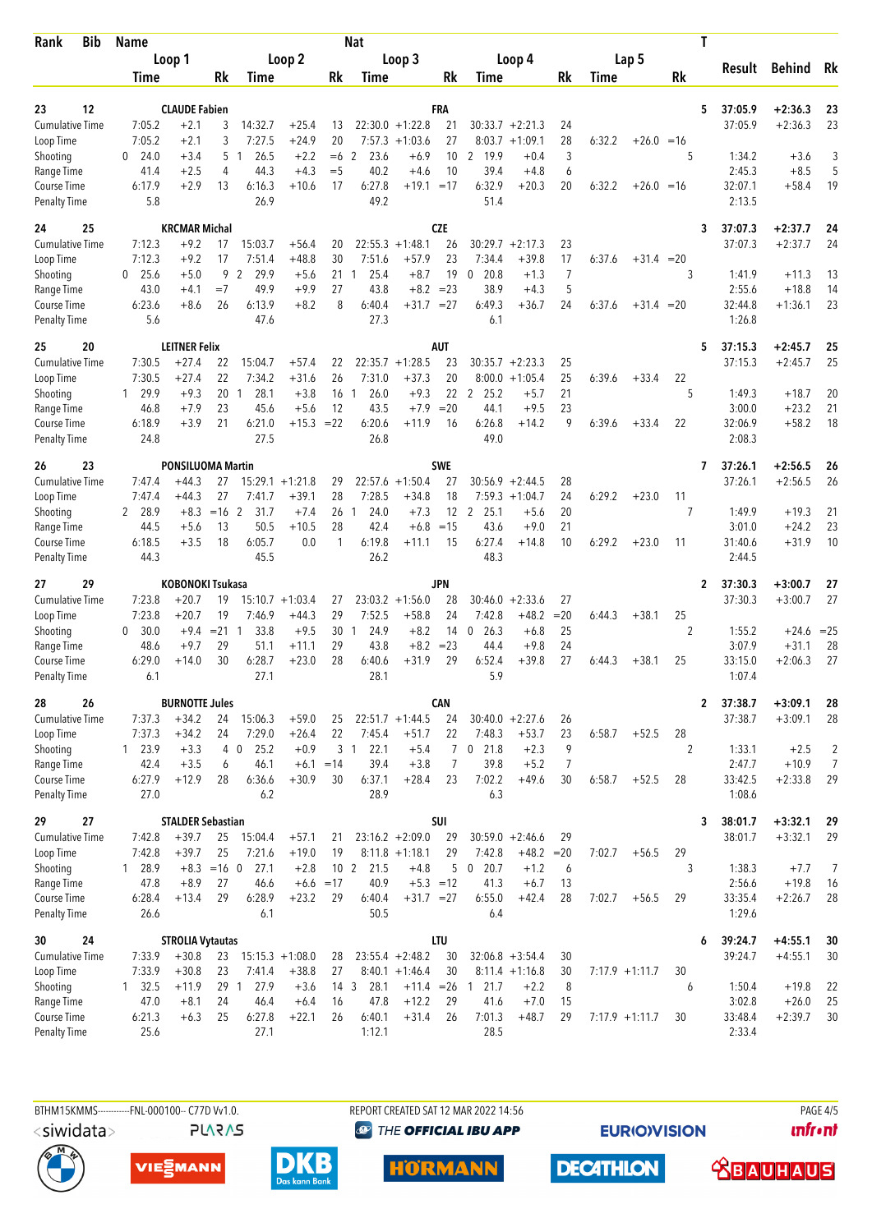| <b>Bib</b><br>Rank                 | <b>Name</b>            | <b>Nat</b>               |                       |                                |                    |                       |                       |                              |              |                               | T                      |                     |                   |              |                      |                   |                    |                |
|------------------------------------|------------------------|--------------------------|-----------------------|--------------------------------|--------------------|-----------------------|-----------------------|------------------------------|--------------|-------------------------------|------------------------|---------------------|-------------------|--------------|----------------------|-------------------|--------------------|----------------|
|                                    |                        | Loop 1                   |                       |                                | Loop 2             | Loop 3                |                       |                              |              |                               | Loop 4                 |                     |                   | Lap 5        |                      | Result            | <b>Behind</b>      | Rk             |
|                                    | Time                   |                          | Rk                    | Time                           |                    | Rk                    | Time                  |                              | Rk           | Time                          |                        | Rk                  | Time              |              | Rk                   |                   |                    |                |
| 12<br>23                           |                        | <b>CLAUDE Fabien</b>     |                       |                                |                    |                       |                       |                              | FRA          |                               |                        |                     |                   |              | 5                    | 37:05.9           | $+2:36.3$          | 23             |
| <b>Cumulative Time</b>             | 7:05.2                 | $+2.1$                   | 3                     | 14:32.7                        | $+25.4$            | 13                    |                       | $22:30.0 +1:22.8$            | 21           |                               | $30:33.7 + 2:21.3$     | 24                  |                   |              |                      | 37:05.9           | $+2:36.3$          | 23             |
| Loop Time                          | 7:05.2                 | $+2.1$                   | 3                     | 7:27.5                         | $+24.9$            | 20                    |                       | $7:57.3 +1:03.6$             | 27           |                               | $8:03.7 +1:09.1$       | 28                  | 6:32.2            | $+26.0 = 16$ |                      |                   |                    |                |
| Shooting                           | 24.0<br>0              | $+3.4$                   | 5                     | 26.5<br>$\overline{1}$         | $+2.2$             | $=6$                  | 2<br>23.6             | $+6.9$                       | 10           | 2<br>19.9                     | $+0.4$                 | 3                   |                   |              | 5                    | 1:34.2            | $+3.6$             | 3              |
| Range Time                         | 41.4                   | $+2.5$                   | 4                     | 44.3                           | $+4.3$             | $=$ 5                 | 40.2                  | $+4.6$                       | 10           | 39.4                          | $+4.8$                 | 6                   |                   |              |                      | 2:45.3            | $+8.5$             | 5              |
| Course Time<br><b>Penalty Time</b> | 6:17.9<br>5.8          | +2.9                     | 13                    | 6:16.3<br>26.9                 | $+10.6$            | 17                    | 6:27.8<br>49.2        | $+19.1 = 17$                 |              | 6:32.9<br>51.4                | $+20.3$                | 20                  | 6:32.2            | $+26.0 = 16$ |                      | 32:07.1<br>2:13.5 | $+58.4$            | 19             |
| 25<br>24                           |                        | <b>KRCMAR Michal</b>     |                       |                                |                    |                       |                       |                              | <b>CZE</b>   |                               |                        |                     |                   |              | 3                    | 37:07.3           | $+2:37.7$          | 24             |
| <b>Cumulative Time</b>             | 7:12.3                 | $+9.2$                   | 17                    | 15:03.7                        | $+56.4$            | 20                    |                       | $22:55.3 +1:48.1$            | 26           | 30:29.7                       | $+2:17.3$              | 23                  |                   |              |                      | 37:07.3           | $+2:37.7$          | 24             |
| Loop Time                          | 7:12.3                 | $+9.2$                   | 17                    | 7:51.4                         | $+48.8$            | 30                    | 7:51.6                | $+57.9$                      | 23           | 7:34.4                        | $+39.8$                | 17                  | 6:37.6            | $+31.4 = 20$ |                      |                   |                    |                |
| Shooting<br>Range Time             | 25.6<br>0<br>43.0      | $+5.0$<br>$+4.1$         | 9<br>$=7$             | $\overline{2}$<br>29.9<br>49.9 | $+5.6$<br>$+9.9$   | 21<br>27              | 25.4<br>1<br>43.8     | $+8.7$<br>$+8.2$             | 19<br>$= 23$ | 20.8<br>$\mathbf{0}$<br>38.9  | $+1.3$<br>$+4.3$       | $\overline{7}$<br>5 |                   |              | 3                    | 1:41.9<br>2:55.6  | $+11.3$<br>$+18.8$ | 13<br>14       |
| Course Time                        | 6:23.6                 | $+8.6$                   | 26                    | 6:13.9                         | $+8.2$             | 8                     | 6:40.4                | $+31.7 = 27$                 |              | 6:49.3                        | $+36.7$                | 24                  | 6:37.6            | $+31.4 = 20$ |                      | 32:44.8           | $+1:36.1$          | 23             |
| <b>Penalty Time</b>                | 5.6                    |                          |                       | 47.6                           |                    |                       | 27.3                  |                              |              | 6.1                           |                        |                     |                   |              |                      | 1:26.8            |                    |                |
| 25<br>20                           |                        | <b>LEITNER Felix</b>     |                       |                                |                    |                       |                       |                              | AUT          |                               |                        |                     |                   |              | 5                    | 37:15.3           | $+2:45.7$          | 25             |
| Cumulative Time                    | 7:30.5<br>7:30.5       | $+27.4$<br>$+27.4$       | 22<br>22              | 15:04.7<br>7:34.2              | $+57.4$<br>$+31.6$ | 22<br>26              | 7:31.0                | $22:35.7 +1:28.5$<br>$+37.3$ | 23<br>20     | 30:35.7<br>8:00.0             | $+2:23.3$<br>$+1:05.4$ | 25<br>25            | 6:39.6            | $+33.4$      | 22                   | 37:15.3           | $+2:45.7$          | 25             |
| Loop Time<br>Shooting              | 29.9<br>1              | $+9.3$                   | 20                    | 28.1<br>$\mathbf{1}$           | $+3.8$             | 16                    | 26.0<br>$\mathbf{1}$  | $+9.3$                       | 22           | $\overline{2}$<br>25.2        | $+5.7$                 | 21                  |                   |              | 5                    | 1:49.3            | $+18.7$            | 20             |
| Range Time                         | 46.8                   | $+7.9$                   | 23                    | 45.6                           | $+5.6$             | 12                    | 43.5                  | $+7.9$                       | $= 20$       | 44.1                          | $+9.5$                 | 23                  |                   |              |                      | 3:00.0            | $+23.2$            | 21             |
| Course Time                        | 6:18.9                 | $+3.9$                   | 21                    | 6:21.0                         | $+15.3 = 22$       |                       | 6:20.6                | $+11.9$                      | 16           | 6:26.8                        | +14.2                  | 9                   | 6:39.6            | $+33.4$      | 22                   | 32:06.9           | $+58.2$            | 18             |
| <b>Penalty Time</b>                | 24.8                   |                          |                       | 27.5                           |                    |                       | 26.8                  |                              |              | 49.0                          |                        |                     |                   |              |                      | 2:08.3            |                    |                |
| 23<br>26                           |                        | <b>PONSILUOMA Martin</b> |                       |                                |                    |                       |                       |                              | <b>SWE</b>   |                               |                        |                     |                   |              | 7                    | 37:26.1           | $+2:56.5$          | 26             |
| <b>Cumulative Time</b>             | 7:47.4                 | $+44.3$                  | 27                    |                                | $15:29.1 + 1:21.8$ | 29                    |                       | $22:57.6 + 1:50.4$           | 27           | 30:56.9                       | $+2:44.5$              | 28                  |                   |              |                      | 37:26.1           | $+2:56.5$          | 26             |
| Loop Time                          | 7:47.4<br>2 28.9       | $+44.3$<br>$+8.3$        | 27<br>$=16$ 2         | 7:41.7<br>31.7                 | $+39.1$<br>$+7.4$  | 28<br>26              | 7:28.5<br>24.0<br>1   | $+34.8$<br>$+7.3$            | 18<br>12     | 7:59.3<br>2 25.1              | $+1:04.7$<br>$+5.6$    | 24<br>20            | 6:29.2            | $+23.0$      | 11<br>7              | 1:49.9            | $+19.3$            | 21             |
| Shooting<br>Range Time             | 44.5                   | $+5.6$                   | 13                    | 50.5                           | $+10.5$            | 28                    | 42.4                  | $+6.8$                       | $=15$        | 43.6                          | $+9.0$                 | 21                  |                   |              |                      | 3:01.0            | $+24.2$            | 23             |
| Course Time                        | 6:18.5                 | $+3.5$                   | 18                    | 6:05.7                         | 0.0                | $\mathbf{1}$          | 6:19.8                | $+11.1$                      | 15           | 6:27.4                        | $+14.8$                | 10                  | 6:29.2            | $+23.0$      | 11                   | 31:40.6           | $+31.9$            | 10             |
| <b>Penalty Time</b>                | 44.3                   |                          |                       | 45.5                           |                    |                       | 26.2                  |                              |              | 48.3                          |                        |                     |                   |              |                      | 2:44.5            |                    |                |
| 29<br>27                           |                        | KOBONOKI Tsukasa         |                       |                                |                    |                       |                       |                              | JPN          |                               |                        |                     |                   |              | $\overline{2}$       | 37:30.3           | $+3:00.7$          | 27             |
| <b>Cumulative Time</b>             | 7:23.8                 | $+20.7$                  | 19                    |                                | $15:10.7 + 1:03.4$ | 27                    |                       | $23:03.2 +1:56.0$            | 28           |                               | $30:46.0 +2:33.6$      | 27                  |                   |              |                      | 37:30.3           | $+3:00.7$          | 27             |
| Loop Time<br>Shooting              | 7:23.8<br>30.0<br>0    | $+20.7$<br>$+9.4$        | 19<br>$= 21 \quad 1$  | 7:46.9<br>33.8                 | $+44.3$<br>$+9.5$  | 29<br>30              | 7:52.5<br>24.9<br>1   | $+58.8$<br>$+8.2$            | 24<br>14     | 7:42.8<br>$\mathbf 0$<br>26.3 | $+48.2$<br>$+6.8$      | $=20$<br>25         | 6:44.3            | $+38.1$      | 25<br>$\overline{c}$ | 1:55.2            | $+24.6 = 25$       |                |
| Range Time                         | 48.6                   | $+9.7$                   | 29                    | 51.1                           | $+11.1$            | 29                    | 43.8                  | $+8.2$                       | $= 23$       | 44.4                          | $+9.8$                 | 24                  |                   |              |                      | 3:07.9            | $+31.1$            | 28             |
| <b>Course Time</b>                 | 6:29.0                 | $+14.0$                  | 30                    | 6:28.7                         | $+23.0$            | 28                    | 6:40.6                | $+31.9$                      | 29           | 6:52.4                        | $+39.8$                | 27                  | 6:44.3            | $+38.1$      | 25                   | 33:15.0           | $+2:06.3$          | 27             |
| <b>Penalty Time</b>                | 6.1                    |                          |                       | 27.1                           |                    |                       | 28.1                  |                              |              | 5.9                           |                        |                     |                   |              |                      | 1:07.4            |                    |                |
| 26<br>28                           |                        | <b>BURNOTTE Jules</b>    |                       |                                |                    |                       |                       |                              | <b>CAN</b>   |                               |                        |                     |                   |              | $\mathbf{2}$         | 37:38.7           | $+3:09.1$          | 28             |
| <b>Cumulative Time</b>             | 7:37.3                 | $+34.2$                  | 24                    | 15:06.3                        | $+59.0$            | 25                    |                       | $22:51.7 +1:44.5$            | 24           |                               | $30:40.0 +2:27.6$      | 26                  |                   |              |                      | 37:38.7           | $+3:09.1$          | 28             |
| Loop Time<br>Shooting              | 7:37.3<br>1 23.9       | $+34.2$<br>$+3.3$        | 24                    | 7:29.0<br>25.2<br>4 0          | $+26.4$<br>$+0.9$  | 22                    | 7:45.4<br>3 1<br>22.1 | $+51.7$<br>$+5.4$            | 22<br>7      | 7:48.3<br>$0$ 21.8            | $+53.7$<br>$+2.3$      | 23<br>9             | 6:58.7            | $+52.5$      | 28<br>2              | 1:33.1            | $+2.5$             | 2              |
| Range Time                         | 42.4                   | $+3.5$                   | 6                     | 46.1                           | $+6.1$             | $=14$                 | 39.4                  | $+3.8$                       | 7            | 39.8                          | $+5.2$                 | 7                   |                   |              |                      | 2:47.7            | $+10.9$            | $\overline{7}$ |
| Course Time                        | 6:27.9                 | $+12.9$                  | 28                    | 6:36.6                         | $+30.9$            | 30                    | 6:37.1                | $+28.4$                      | 23           | 7:02.2                        | +49.6                  | 30                  | 6:58.7            | $+52.5$      | 28                   | 33:42.5           | $+2:33.8$          | 29             |
| <b>Penalty Time</b>                | 27.0                   |                          |                       | 6.2                            |                    |                       | 28.9                  |                              |              | 6.3                           |                        |                     |                   |              |                      | 1:08.6            |                    |                |
| 27<br>29                           |                        | <b>STALDER Sebastian</b> |                       |                                |                    |                       |                       |                              | SUI          |                               |                        |                     |                   |              | 3                    | 38:01.7           | $+3:32.1$          | 29             |
| <b>Cumulative Time</b>             | 7:42.8                 | $+39.7$                  | 25                    | 15:04.4                        | $+57.1$            | 21                    |                       | $23:16.2 + 2:09.0$           | 29           |                               | $30:59.0 +2:46.6$      | 29                  |                   |              |                      | 38:01.7           | $+3:32.1$          | 29             |
| Loop Time<br>Shooting              | 7:42.8<br>1 28.9       | $+39.7$                  | 25<br>$+8.3 = 160$    | 7:21.6<br>27.1                 | $+19.0$<br>$+2.8$  | 19<br>10 <sub>2</sub> | 21.5                  | $8:11.8 + 1:18.1$<br>$+4.8$  | 29<br>5      | 7:42.8<br>20.7<br>$\mathbf 0$ | $+48.2$<br>$+1.2$      | $=20$<br>6          | 7:02.7            | $+56.5$      | 29<br>3              | 1:38.3            | $+7.7$             | $\overline{7}$ |
| Range Time                         | 47.8                   | $+8.9$                   | 27                    | 46.6                           | $+6.6$             | $=17$                 | 40.9                  | $+5.3 = 12$                  |              | 41.3                          | $+6.7$                 | 13                  |                   |              |                      | 2:56.6            | $+19.8$            | 16             |
| Course Time                        | 6:28.4                 | $+13.4$                  | 29                    | 6:28.9                         | $+23.2$            | 29                    | 6:40.4                | $+31.7 = 27$                 |              | 6:55.0                        | $+42.4$                | 28                  | 7:02.7            | $+56.5$      | 29                   | 33:35.4           | $+2:26.7$          | 28             |
| <b>Penalty Time</b>                | 26.6                   |                          |                       | 6.1                            |                    |                       | 50.5                  |                              |              | 6.4                           |                        |                     |                   |              |                      | 1:29.6            |                    |                |
| 24<br>30                           |                        | <b>STROLIA Vytautas</b>  |                       |                                |                    |                       |                       |                              | <b>LTU</b>   |                               |                        |                     |                   |              | 6                    | 39:24.7           | $+4:55.1$          | 30             |
| <b>Cumulative Time</b>             | 7:33.9                 | $+30.8$                  | 23                    |                                | $15:15.3 + 1:08.0$ | 28                    |                       | $23:55.4 +2:48.2$            | 30           |                               | $32:06.8 + 3:54.4$     | 30                  |                   |              |                      | 39:24.7           | $+4:55.1$          | 30             |
| Loop Time                          | 7:33.9                 | $+30.8$                  | 23                    | 7:41.4                         | $+38.8$            | 27                    |                       | $8:40.1 + 1:46.4$            | 30           |                               | $8:11.4 +1:16.8$       | 30                  | $7:17.9 + 1:11.7$ |              | 30                   |                   |                    |                |
| Shooting<br>Range Time             | $1 \quad 32.5$<br>47.0 | $+11.9$<br>$+8.1$        | 29 <sub>1</sub><br>24 | 27.9<br>46.4                   | $+3.6$<br>$+6.4$   | 14 3<br>16            | 28.1<br>47.8          | $+11.4 = 26$<br>$+12.2$      | 29           | 121.7<br>41.6                 | $+2.2$<br>$+7.0$       | 8<br>15             |                   |              | 6                    | 1:50.4<br>3:02.8  | $+19.8$<br>$+26.0$ | 22<br>25       |
| Course Time                        | 6:21.3                 | $+6.3$                   | 25                    | 6:27.8                         | $+22.1$            | 26                    | 6:40.1                | $+31.4$                      | 26           | 7:01.3                        | $+48.7$                | 29                  | $7:17.9 +1:11.7$  |              | 30                   | 33:48.4           | $+2:39.7$          | 30             |
| <b>Penalty Time</b>                | 25.6                   |                          |                       | 27.1                           |                    |                       | 1:12.1                |                              |              | 28.5                          |                        |                     |                   |              |                      | 2:33.4            |                    |                |

<siwidata>

BTHM15KMMS------------FNL-000100-- C77D Vv1.0. **PLARAS**  REPORT CREATED SAT 12 MAR 2022 14:56 <sup><sup>9</sup> THE OFFICIAL IBU APP</sup>

**HÖRMANN** 

**EURIOVISION** 

**PAGE 4/5** *<u><u>Infront</u>*</u>